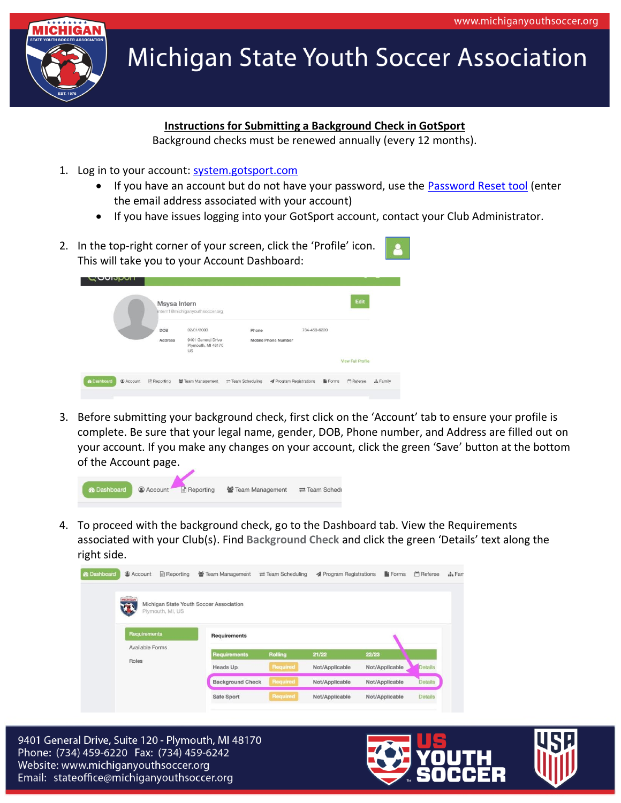

## **Michigan State Youth Soccer Association**

## **Instructions for Submitting a Background Check in GotSport**

Background checks must be renewed annually (every 12 months).

- 1. Log in to your account: [system.gotsport.com](https://system.gotsport.com/)
	- If you have an account but do not have your password, use the **Password Reset tool** (enter the email address associated with your account)
	- If you have issues logging into your GotSport account, contact your Club Administrator.
- 2. In the top-right corner of your screen, click the 'Profile' icon. This will take you to your Account Dashboard:

| - <b>OOIPPOLI</b>  |           | Msysa Intern<br>intern1@michiganyouthsoccer.org |                                                              |                                    |                                     |       | Edit                     |           |
|--------------------|-----------|-------------------------------------------------|--------------------------------------------------------------|------------------------------------|-------------------------------------|-------|--------------------------|-----------|
|                    |           | <b>NORTH</b><br><b>DOB</b><br>Address           | 02/01/2000<br>9401 General Drive<br>Plymouth, MI 48170<br>US | Phone                              | 734-459-6220<br>Mobile Phone Number |       |                          |           |
|                    |           |                                                 |                                                              |                                    |                                     |       | <b>View Full Profile</b> |           |
| <b>2</b> Dashboard | @ Account | Reporting                                       | 警 Team Management                                            | $\rightleftarrows$ Team Scheduling | ◀ Program Registrations             | Forms | <b>M</b> Referee         | A. Family |

3. Before submitting your background check, first click on the 'Account' tab to ensure your profile is complete. Be sure that your legal name, gender, DOB, Phone number, and Address are filled out on your account. If you make any changes on your account, click the green 'Save' button at the bottom of the Account page.



4. To proceed with the background check, go to the Dashboard tab. View the Requirements associated with your Club(s). Find **Background Check** and click the green 'Details' text along the right side.

| <b>&amp;</b> Dashboard | @ Account       | $\triangleq$ Reporting | Team Management                         | $\rightleftarrows$ Team Scheduling | <b>A</b> Program Registrations | Forms          | Referee        | $\frac{1}{2}$ Farr |
|------------------------|-----------------|------------------------|-----------------------------------------|------------------------------------|--------------------------------|----------------|----------------|--------------------|
|                        | <b>MICHIGAN</b> | Plymouth, MI, US       | Michigan State Youth Soccer Association |                                    |                                |                |                |                    |
|                        | Requirements    |                        | <b>Requirements</b>                     |                                    |                                |                |                |                    |
|                        | Available Forms |                        | <b>Requirements</b>                     | <b>Rolling</b>                     | 21/22                          | 22/23          |                |                    |
|                        | Roles           |                        | <b>Heads Up</b>                         | Required                           | Not/Applicable                 | Not/Applicable | Details        |                    |
|                        |                 |                        | <b>Background Check</b>                 | Required                           | Not/Applicable                 | Not/Applicable | Details        |                    |
|                        |                 |                        | Safe Sport                              | Required                           | Not/Applicable                 | Not/Applicable | <b>Details</b> |                    |
|                        |                 |                        |                                         |                                    |                                |                |                |                    |

9401 General Drive, Suite 120 - Plymouth, MI 48170 Phone: (734) 459-6220 Fax: (734) 459-6242 Website: www.michiganyouthsoccer.org Email: stateoffice@michiganyouthsoccer.org

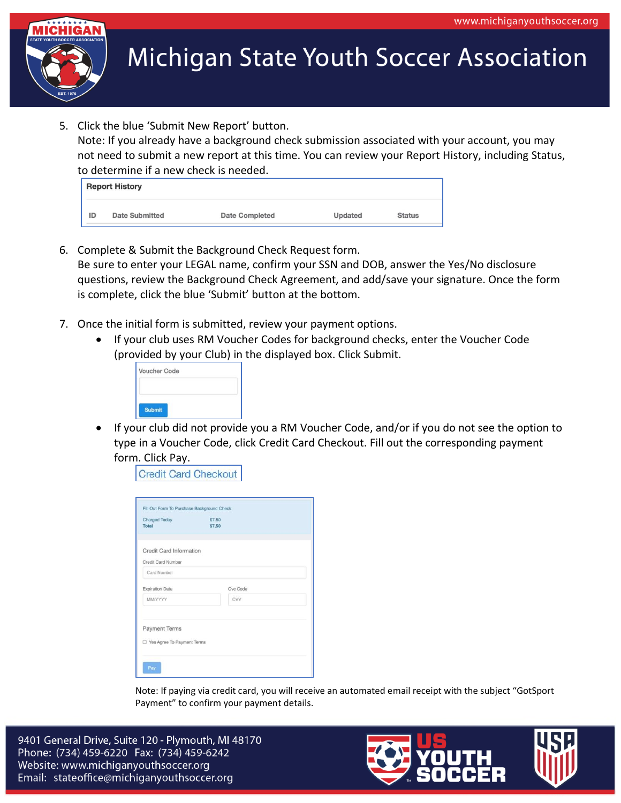

**Michigan State Youth Soccer Association** 

5. Click the blue 'Submit New Report' button.

Note: If you already have a background check submission associated with your account, you may not need to submit a new report at this time. You can review your Report History, including Status, to determine if a new check is needed.

|    | <b>Report History</b> |                       |         |               |  |  |
|----|-----------------------|-----------------------|---------|---------------|--|--|
| ID | <b>Date Submitted</b> | <b>Date Completed</b> | Updated | <b>Status</b> |  |  |

- 6. Complete & Submit the Background Check Request form. Be sure to enter your LEGAL name, confirm your SSN and DOB, answer the Yes/No disclosure questions, review the Background Check Agreement, and add/save your signature. Once the form is complete, click the blue 'Submit' button at the bottom.
- 7. Once the initial form is submitted, review your payment options.
	- If your club uses RM Voucher Codes for background checks, enter the Voucher Code (provided by your Club) in the displayed box. Click Submit.



• If your club did not provide you a RM Voucher Code, and/or if you do not see the option to type in a Voucher Code, click Credit Card Checkout. Fill out the corresponding payment form. Click Pay.

**Credit Card Checkout** 

| <b>Charged Today</b><br><b>Total</b>                 | \$7.50<br>\$7.50 |  |
|------------------------------------------------------|------------------|--|
| Credit Card Information<br>Credit Card Number        |                  |  |
| Card Number                                          |                  |  |
| <b>Expiration Date</b>                               | Cvc Code         |  |
| MM/YYYY                                              | <b>CVV</b>       |  |
| <b>Payment Terms</b><br>□ Yes Agree To Payment Terms |                  |  |

Note: If paying via credit card, you will receive an automated email receipt with the subject "GotSport Payment" to confirm your payment details.

9401 General Drive, Suite 120 - Plymouth, MI 48170 Phone: (734) 459-6220 Fax: (734) 459-6242 Website: www.michiganyouthsoccer.org Email: stateoffice@michiganyouthsoccer.org